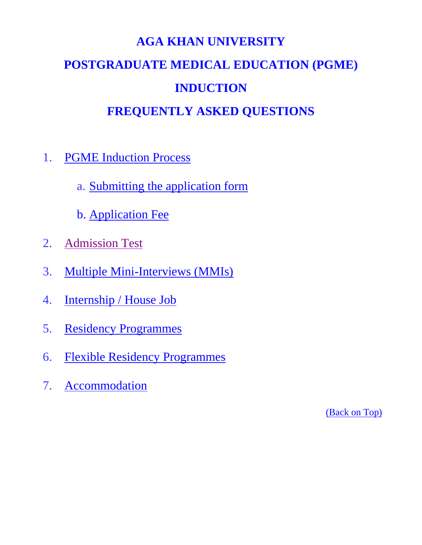# **AGA KHAN UNIVERSITY POSTGRADUATE MEDICAL EDUCATION (PGME) INDUCTION**

### **FREQUENTLY ASKED QUESTIONS**

- <span id="page-0-0"></span>1. [PGME Induction Process](#page-1-0)
	- a. [Submitting the application form](#page-1-1)
	- b. [Application Fee](#page-3-0)
- 2. [Admission Test](#page-4-0)
- 3. [Multiple Mini-Interviews \(MMIs\)](#page-5-0)
- 4. [Internship / House Job](#page-6-0)
- 5. [Residency Programmes](#page-9-0)
- 6. [Flexible Residency Programmes](#page-12-0)
- 7. [Accommodation](#page-14-0)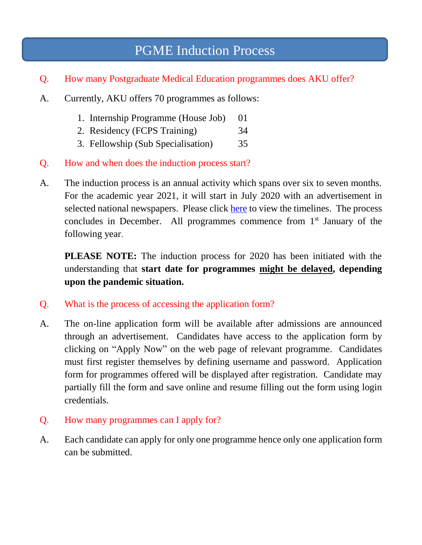### PGME Induction Process

- <span id="page-1-0"></span>Q. How many Postgraduate Medical Education programmes does AKU offer?
- A. Currently, AKU offers 70 programmes as follows:
	- 1. Internship Programme (House Job) 01
	- 2. Residency (FCPS Training) 34
	- 3. Fellowship (Sub Specialisation) 35
- Q. How and when does the induction process start?
- A. The induction process is an annual activity which spans over six to seven months. For the academic year 2021, it will start in July 2020 with an advertisement in selected national newspapers. Please click [here](https://www.aku.edu/mcpk/pgme/Pages/timelines.aspx) to view the timelines. The process concludes in December. All programmes commence from 1<sup>st</sup> January of the following year.

<span id="page-1-1"></span>**PLEASE NOTE:** The induction process for 2020 has been initiated with the understanding that **start date for programmes might be delayed, depending upon the pandemic situation.**

- Q. What is the process of accessing the application form?
- A. The on-line application form will be available after admissions are announced through an advertisement. Candidates have access to the application form by clicking on "Apply Now" on the web page of relevant programme. Candidates must first register themselves by defining username and password. Application form for programmes offered will be displayed after registration. Candidate may partially fill the form and save online and resume filling out the form using login credentials.
- Q. How many programmes can I apply for?
- A. Each candidate can apply for only one programme hence only one application form can be submitted.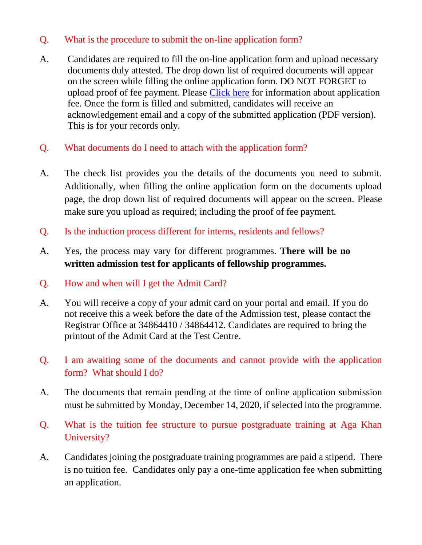#### Q. What is the procedure to submit the on-line application form?

- A. Candidates are required to fill the on-line application form and upload necessary documents duly attested. The drop down list of required documents will appear on the screen while filling the online application form. DO NOT FORGET to upload proof of fee payment. Please [Click here](#page-3-0) for information about application fee. Once the form is filled and submitted, candidates will receive an acknowledgement email and a copy of the submitted application (PDF version). This is for your records only.
- Q. What documents do I need to attach with the application form?
- A. The check list provides you the details of the documents you need to submit. Additionally, when filling the online application form on the documents upload page, the drop down list of required documents will appear on the screen. Please make sure you upload as required; including the proof of fee payment.
- Q. Is the induction process different for interns, residents and fellows?
- A. Yes, the process may vary for different programmes. **There will be no written admission test for applicants of fellowship programmes.**
- Q. How and when will I get the Admit Card?
- A. You will receive a copy of your admit card on your portal and email. If you do not receive this a week before the date of the Admission test, please contact the Registrar Office at 34864410 / 34864412. Candidates are required to bring the printout of the Admit Card at the Test Centre.
- Q. I am awaiting some of the documents and cannot provide with the application form? What should I do?
- A. The documents that remain pending at the time of online application submission must be submitted by Monday, December 14, 2020, if selected into the programme.
- Q. What is the tuition fee structure to pursue postgraduate training at Aga Khan University?
- A. Candidates joining the postgraduate training programmes are paid a stipend. There is no tuition fee. Candidates only pay a one-time application fee when submitting an application.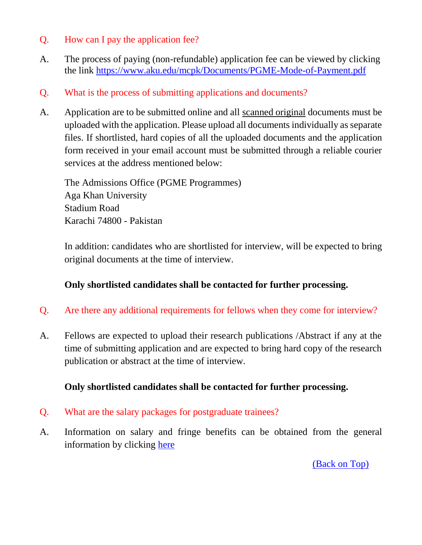#### Q. How can I pay the application fee?

- <span id="page-3-0"></span>A. The process of paying (non-refundable) application fee can be viewed by clicking the link<https://www.aku.edu/mcpk/Documents/PGME-Mode-of-Payment.pdf>
- Q. What is the process of submitting applications and documents?
- A. Application are to be submitted online and all scanned original documents must be uploaded with the application. Please upload all documents individually as separate files. If shortlisted, hard copies of all the uploaded documents and the application form received in your email account must be submitted through a reliable courier services at the address mentioned below:

The Admissions Office (PGME Programmes) Aga Khan University Stadium Road Karachi 74800 - Pakistan

In addition: candidates who are shortlisted for interview, will be expected to bring original documents at the time of interview.

#### **Only shortlisted candidates shall be contacted for further processing.**

- Q. Are there any additional requirements for fellows when they come for interview?
- A. Fellows are expected to upload their research publications /Abstract if any at the time of submitting application and are expected to bring hard copy of the research publication or abstract at the time of interview.

#### **Only shortlisted candidates shall be contacted for further processing.**

- Q. What are the salary packages for postgraduate trainees?
- A. Information on salary and fringe benefits can be obtained from the general information by clicking [here](https://www.aku.edu/mcpk/fellowship/Pages/benefits.aspx)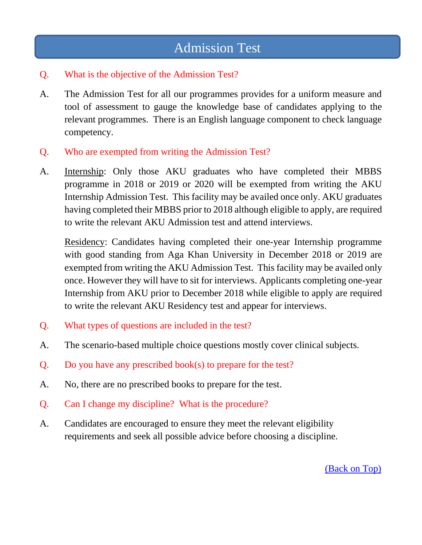### Admission Test

#### <span id="page-4-0"></span>Q. What is the objective of the Admission Test?

- A. The Admission Test for all our programmes provides for a uniform measure and tool of assessment to gauge the knowledge base of candidates applying to the relevant programmes. There is an English language component to check language competency.
- Q. Who are exempted from writing the Admission Test?
- A. Internship: Only those AKU graduates who have completed their MBBS programme in 2018 or 2019 or 2020 will be exempted from writing the AKU Internship Admission Test. This facility may be availed once only. AKU graduates having completed their MBBS prior to 2018 although eligible to apply, are required to write the relevant AKU Admission test and attend interviews.

Residency: Candidates having completed their one-year Internship programme with good standing from Aga Khan University in December 2018 or 2019 are exempted from writing the AKU Admission Test. This facility may be availed only once. However they will have to sit for interviews. Applicants completing one-year Internship from AKU prior to December 2018 while eligible to apply are required to write the relevant AKU Residency test and appear for interviews.

- Q. What types of questions are included in the test?
- A. The scenario-based multiple choice questions mostly cover clinical subjects.
- Q. Do you have any prescribed book(s) to prepare for the test?
- A. No, there are no prescribed books to prepare for the test.
- Q. Can I change my discipline? What is the procedure?
- A. Candidates are encouraged to ensure they meet the relevant eligibility requirements and seek all possible advice before choosing a discipline.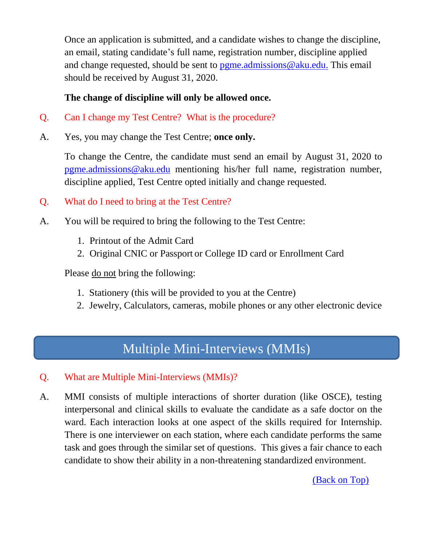Once an application is submitted, and a candidate wishes to change the discipline, an email, stating candidate's full name, registration number, discipline applied and change requested, should be sent to  $p$ gme.admissions @aku.edu. This email should be received by August 31, 2020.

#### **The change of discipline will only be allowed once.**

- Q. Can I change my Test Centre? What is the procedure?
- A. Yes, you may change the Test Centre; **once only.**

To change the Centre, the candidate must send an email by August 31, 2020 to [pgme.admissions@aku.edu](mailto:pgme.admissions@aku.edu) mentioning his/her full name, registration number, discipline applied, Test Centre opted initially and change requested.

- Q. What do I need to bring at the Test Centre?
- A. You will be required to bring the following to the Test Centre:
	- 1. Printout of the Admit Card
	- 2. Original CNIC or Passport or College ID card or Enrollment Card

Please do not bring the following:

- 1. Stationery (this will be provided to you at the Centre)
- 2. Jewelry, Calculators, cameras, mobile phones or any other electronic device

### Multiple Mini-Interviews (MMIs)

- <span id="page-5-0"></span>Q. What are Multiple Mini-Interviews (MMIs)?
- A. MMI consists of multiple interactions of shorter duration (like OSCE), testing interpersonal and clinical skills to evaluate the candidate as a safe doctor on the ward. Each interaction looks at one aspect of the skills required for Internship. There is one interviewer on each station, where each candidate performs the same task and goes through the similar set of questions. This gives a fair chance to each candidate to show their ability in a non-threatening standardized environment.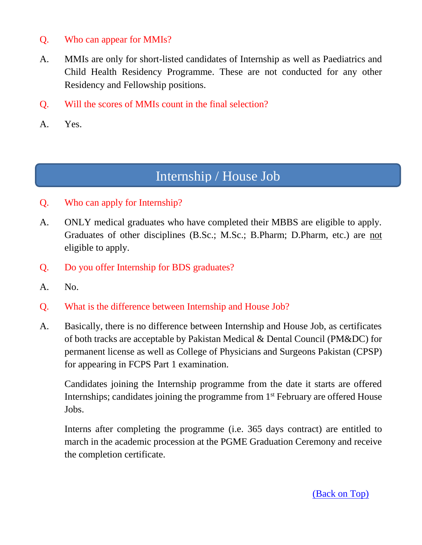#### Q. Who can appear for MMIs?

- A. MMIs are only for short-listed candidates of Internship as well as Paediatrics and Child Health Residency Programme. These are not conducted for any other Residency and Fellowship positions.
- Q. Will the scores of MMIs count in the final selection?
- A. Yes.

### Internship / House Job

- <span id="page-6-0"></span>Q. Who can apply for Internship?
- A. ONLY medical graduates who have completed their MBBS are eligible to apply. Graduates of other disciplines (B.Sc.; M.Sc.; B.Pharm; D.Pharm, etc.) are not eligible to apply.
- Q. Do you offer Internship for BDS graduates?
- A. No.
- Q. What is the difference between Internship and House Job?
- A. Basically, there is no difference between Internship and House Job, as certificates of both tracks are acceptable by Pakistan Medical & Dental Council (PM&DC) for permanent license as well as College of Physicians and Surgeons Pakistan (CPSP) for appearing in FCPS Part 1 examination.

Candidates joining the Internship programme from the date it starts are offered Internships; candidates joining the programme from 1<sup>st</sup> February are offered House Jobs.

Interns after completing the programme (i.e. 365 days contract) are entitled to march in the academic procession at the PGME Graduation Ceremony and receive the completion certificate.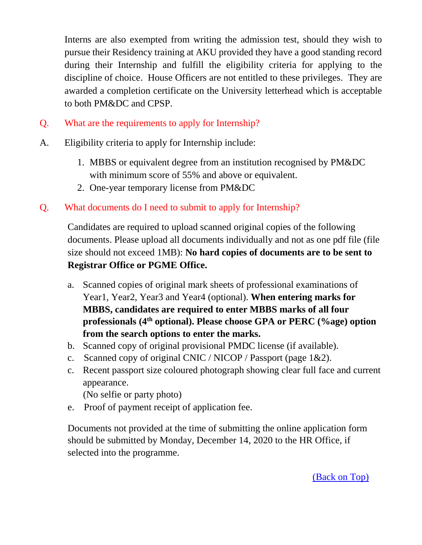Interns are also exempted from writing the admission test, should they wish to pursue their Residency training at AKU provided they have a good standing record during their Internship and fulfill the eligibility criteria for applying to the discipline of choice. House Officers are not entitled to these privileges. They are awarded a completion certificate on the University letterhead which is acceptable to both PM&DC and CPSP.

- Q. What are the requirements to apply for Internship?
- A. Eligibility criteria to apply for Internship include:
	- 1. MBBS or equivalent degree from an institution recognised by PM&DC with minimum score of 55% and above or equivalent.
	- 2. One-year temporary license from PM&DC
- Q. What documents do I need to submit to apply for Internship?

Candidates are required to upload scanned original copies of the following documents. Please upload all documents individually and not as one pdf file (file size should not exceed 1MB): **No hard copies of documents are to be sent to Registrar Office or PGME Office.**

- a. Scanned copies of original mark sheets of professional examinations of Year1, Year2, Year3 and Year4 (optional). **When entering marks for MBBS, candidates are required to enter MBBS marks of all four professionals (4th optional). Please choose GPA or PERC (%age) option from the search options to enter the marks.**
- b. Scanned copy of original provisional PMDC license (if available).
- c. Scanned copy of original CNIC / NICOP / Passport (page 1&2).
- c. Recent passport size coloured photograph showing clear full face and current appearance.

(No selfie or party photo)

e. Proof of payment receipt of application fee.

Documents not provided at the time of submitting the online application form should be submitted by Monday, December 14, 2020 to the HR Office, if selected into the programme.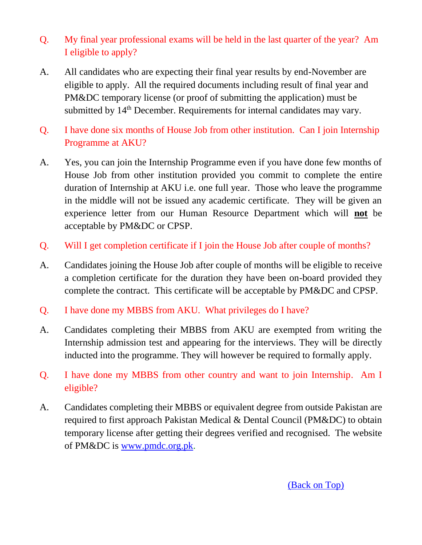- Q. My final year professional exams will be held in the last quarter of the year? Am I eligible to apply?
- A. All candidates who are expecting their final year results by end-November are eligible to apply. All the required documents including result of final year and PM&DC temporary license (or proof of submitting the application) must be submitted by 14<sup>th</sup> December. Requirements for internal candidates may vary.
- Q. I have done six months of House Job from other institution. Can I join Internship Programme at AKU?
- A. Yes, you can join the Internship Programme even if you have done few months of House Job from other institution provided you commit to complete the entire duration of Internship at AKU i.e. one full year. Those who leave the programme in the middle will not be issued any academic certificate. They will be given an experience letter from our Human Resource Department which will **not** be acceptable by PM&DC or CPSP.
- Q. Will I get completion certificate if I join the House Job after couple of months?
- A. Candidates joining the House Job after couple of months will be eligible to receive a completion certificate for the duration they have been on-board provided they complete the contract. This certificate will be acceptable by PM&DC and CPSP.
- Q. I have done my MBBS from AKU. What privileges do I have?
- A. Candidates completing their MBBS from AKU are exempted from writing the Internship admission test and appearing for the interviews. They will be directly inducted into the programme. They will however be required to formally apply.
- Q. I have done my MBBS from other country and want to join Internship. Am I eligible?
- A. Candidates completing their MBBS or equivalent degree from outside Pakistan are required to first approach Pakistan Medical & Dental Council (PM&DC) to obtain temporary license after getting their degrees verified and recognised. The website of PM&DC is [www.pmdc.org.pk.](http://www.pmdc.org.pk/)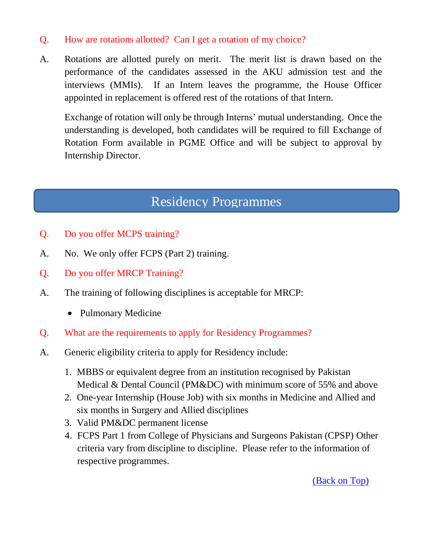#### Q. How are rotations allotted? Can I get a rotation of my choice?

A. Rotations are allotted purely on merit. The merit list is drawn based on the performance of the candidates assessed in the AKU admission test and the interviews (MMIs). If an Intern leaves the programme, the House Officer appointed in replacement is offered rest of the rotations of that Intern.

Exchange of rotation will only be through Interns' mutual understanding. Once the understanding is developed, both candidates will be required to fill Exchange of Rotation Form available in PGME Office and will be subject to approval by Internship Director.

# Residency Programmes

- <span id="page-9-0"></span>Q. Do you offer MCPS training?
- A. No. We only offer FCPS (Part 2) training.
- Q. Do you offer MRCP Training?
- A. The training of following disciplines is acceptable for MRCP:
	- Pulmonary Medicine
- Q. What are the requirements to apply for Residency Programmes?
- A. Generic eligibility criteria to apply for Residency include:
	- 1. MBBS or equivalent degree from an institution recognised by Pakistan Medical & Dental Council (PM&DC) with minimum score of 55% and above
	- 2. One-year Internship (House Job) with six months in Medicine and Allied and six months in Surgery and Allied disciplines
	- 3. Valid PM&DC permanent license
	- 4. FCPS Part 1 from College of Physicians and Surgeons Pakistan (CPSP) Other criteria vary from discipline to discipline. Please refer to the information of respective programmes.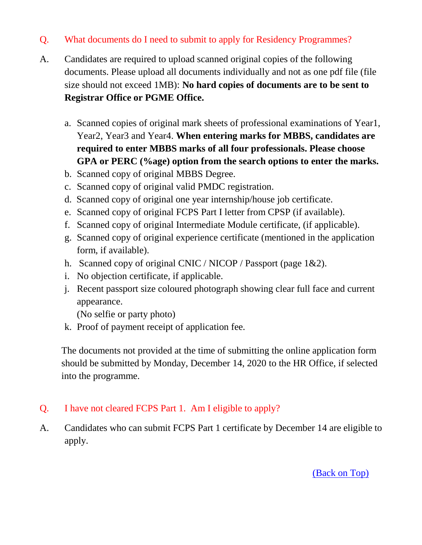#### Q. What documents do I need to submit to apply for Residency Programmes?

- A. Candidates are required to upload scanned original copies of the following documents. Please upload all documents individually and not as one pdf file (file size should not exceed 1MB): **No hard copies of documents are to be sent to Registrar Office or PGME Office.**
	- a. Scanned copies of original mark sheets of professional examinations of Year1, Year2, Year3 and Year4. **When entering marks for MBBS, candidates are required to enter MBBS marks of all four professionals. Please choose GPA or PERC (%age) option from the search options to enter the marks.**
	- b. Scanned copy of original MBBS Degree.
	- c. Scanned copy of original valid PMDC registration.
	- d. Scanned copy of original one year internship/house job certificate.
	- e. Scanned copy of original FCPS Part I letter from CPSP (if available).
	- f. Scanned copy of original Intermediate Module certificate, (if applicable).
	- g. Scanned copy of original experience certificate (mentioned in the application form, if available).
	- h. Scanned copy of original CNIC / NICOP / Passport (page 1&2).
	- i. No objection certificate, if applicable.
	- j. Recent passport size coloured photograph showing clear full face and current appearance.

(No selfie or party photo)

k. Proof of payment receipt of application fee.

The documents not provided at the time of submitting the online application form should be submitted by Monday, December 14, 2020 to the HR Office, if selected into the programme.

#### Q. I have not cleared FCPS Part 1. Am I eligible to apply?

A. Candidates who can submit FCPS Part 1 certificate by December 14 are eligible to apply.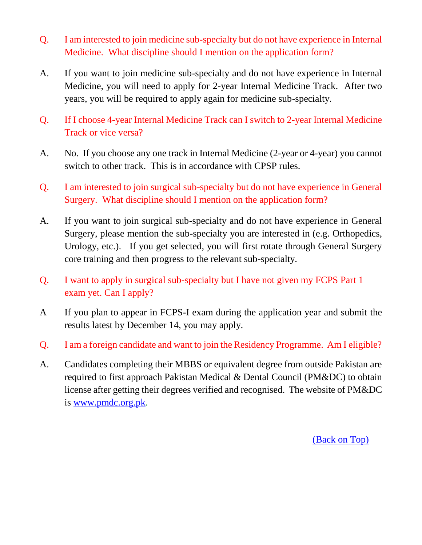- Q. I am interested to join medicine sub-specialty but do not have experience in Internal Medicine. What discipline should I mention on the application form?
- A. If you want to join medicine sub-specialty and do not have experience in Internal Medicine, you will need to apply for 2-year Internal Medicine Track. After two years, you will be required to apply again for medicine sub-specialty.
- Q. If I choose 4-year Internal Medicine Track can I switch to 2-year Internal Medicine Track or vice versa?
- A. No. If you choose any one track in Internal Medicine (2-year or 4-year) you cannot switch to other track. This is in accordance with CPSP rules.
- Q. I am interested to join surgical sub-specialty but do not have experience in General Surgery. What discipline should I mention on the application form?
- A. If you want to join surgical sub-specialty and do not have experience in General Surgery, please mention the sub-specialty you are interested in (e.g. Orthopedics, Urology, etc.). If you get selected, you will first rotate through General Surgery core training and then progress to the relevant sub-specialty.
- Q. I want to apply in surgical sub-specialty but I have not given my FCPS Part 1 exam yet. Can I apply?
- A If you plan to appear in FCPS-I exam during the application year and submit the results latest by December 14, you may apply.
- Q. I am a foreign candidate and want to join the Residency Programme. Am I eligible?
- A. Candidates completing their MBBS or equivalent degree from outside Pakistan are required to first approach Pakistan Medical & Dental Council (PM&DC) to obtain license after getting their degrees verified and recognised. The website of PM&DC is [www.pmdc.org.pk.](http://www.pmdc.org.pk/)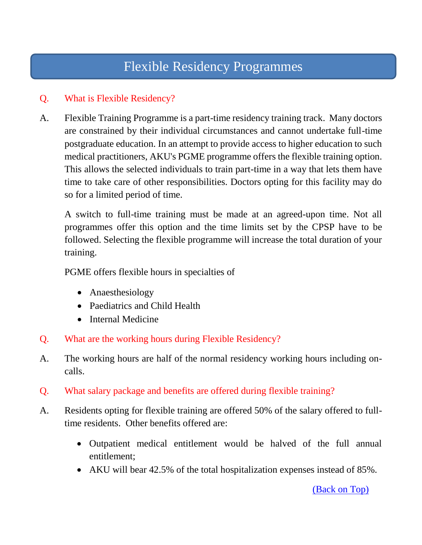# Flexible Residency Programmes

#### <span id="page-12-0"></span>Q. What is Flexible Residency?

A. Flexible Training Programme is a part-time residency training track. Many doctors are constrained by their individual circumstances and cannot undertake full-time postgraduate education. In an attempt to provide access to higher education to such medical practitioners, AKU's PGME programme offers the flexible training option. This allows the selected individuals to train part-time in a way that lets them have time to take care of other responsibilities. Doctors opting for this facility may do so for a limited period of time.

A switch to full-time training must be made at an agreed-upon time. Not all programmes offer this option and the time limits set by the CPSP have to be followed. Selecting the flexible programme will increase the total duration of your training.

PGME offers flexible hours in specialties of

- Anaesthesiology
- Paediatrics and Child Health
- Internal Medicine
- Q. What are the working hours during Flexible Residency?
- A. The working hours are half of the normal residency working hours including oncalls.
- Q. What salary package and benefits are offered during flexible training?
- A. Residents opting for flexible training are offered 50% of the salary offered to fulltime residents. Other benefits offered are:
	- Outpatient medical entitlement would be halved of the full annual entitlement;
	- AKU will bear 42.5% of the total hospitalization expenses instead of 85%.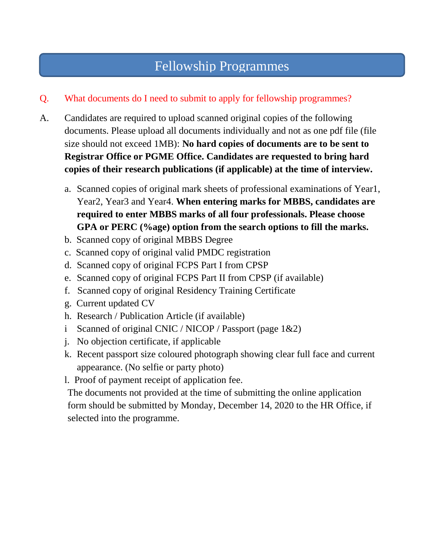## Fellowship Programmes

### Q. What documents do I need to submit to apply for fellowship programmes?

- A. Candidates are required to upload scanned original copies of the following documents. Please upload all documents individually and not as one pdf file (file size should not exceed 1MB): **No hard copies of documents are to be sent to Registrar Office or PGME Office. Candidates are requested to bring hard copies of their research publications (if applicable) at the time of interview.**
	- a. Scanned copies of original mark sheets of professional examinations of Year1, Year2, Year3 and Year4. **When entering marks for MBBS, candidates are required to enter MBBS marks of all four professionals. Please choose GPA or PERC (%age) option from the search options to fill the marks.**
	- b. Scanned copy of original MBBS Degree
	- c. Scanned copy of original valid PMDC registration
	- d. Scanned copy of original FCPS Part I from CPSP
	- e. Scanned copy of original FCPS Part II from CPSP (if available)
	- f. Scanned copy of original Residency Training Certificate
	- g. Current updated CV
	- h. Research / Publication Article (if available)
	- i Scanned of original CNIC / NICOP / Passport (page  $1&2$ )
	- j. No objection certificate, if applicable
	- k. Recent passport size coloured photograph showing clear full face and current appearance. (No selfie or party photo)
	- l. Proof of payment receipt of application fee.

The documents not provided at the time of submitting the online application form should be submitted by Monday, December 14, 2020 to the HR Office, if selected into the programme.